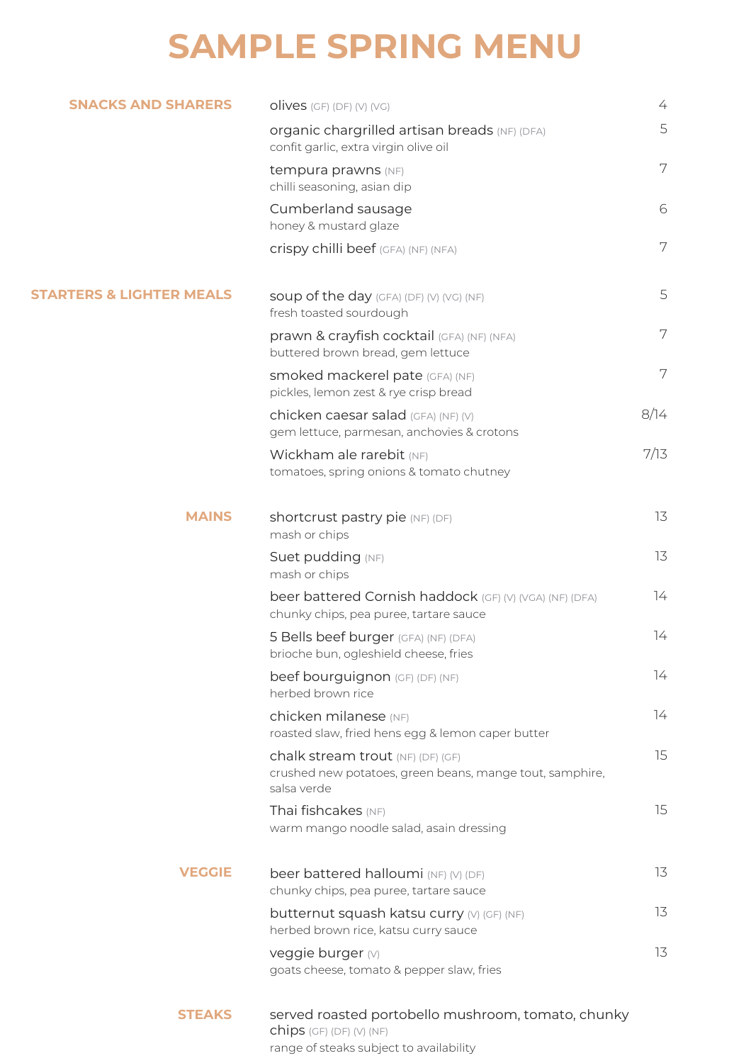## **SAMPLE SPRING MENU**

| <b>SNACKS AND SHARERS</b>           | $olives$ (GF) (DF) (V) (VG)                                                                                                 | 4    |
|-------------------------------------|-----------------------------------------------------------------------------------------------------------------------------|------|
|                                     | organic chargrilled artisan breads (NF) (DFA)<br>confit garlic, extra virgin olive oil                                      | 5    |
|                                     | tempura prawns (NF)<br>chilli seasoning, asian dip                                                                          | 7    |
|                                     | Cumberland sausage<br>honey & mustard glaze                                                                                 | 6    |
|                                     | Crispy chilli beef (GFA) (NF) (NFA)                                                                                         | 7    |
| <b>STARTERS &amp; LIGHTER MEALS</b> | Soup of the day (GFA) (DF) (V) (VG) (NF)<br>fresh toasted sourdough                                                         | 5    |
|                                     | prawn & crayfish cocktail (GFA) (NF) (NFA)<br>buttered brown bread, gem lettuce                                             | 7    |
|                                     | Smoked mackerel pate (GFA) (NF)<br>pickles, lemon zest & rye crisp bread                                                    | 7    |
|                                     | chicken caesar salad (GFA) (NF) (V)<br>gem lettuce, parmesan, anchovies & crotons                                           | 8/14 |
|                                     | Wickham ale rarebit (NF)<br>tomatoes, spring onions & tomato chutney                                                        | 7/13 |
| <b>MAINS</b>                        | <b>shortcrust pastry pie (NF) (DF)</b><br>mash or chips                                                                     | 13   |
|                                     | Suet pudding (NF)<br>mash or chips                                                                                          | 13   |
|                                     | beer battered Cornish haddock (GF) (V) (VGA) (NF) (DFA)<br>chunky chips, pea puree, tartare sauce                           | 74   |
|                                     | 5 Bells beef burger (GFA) (NF) (DFA)<br>brioche bun, ogleshield cheese, fries                                               | 14   |
|                                     | beef bourguignon (GF) (DF) (NF)<br>herbed brown rice                                                                        | 14   |
|                                     | chicken milanese (NF)<br>roasted slaw, fried hens egg & lemon caper butter                                                  | 14   |
|                                     | chalk stream trout (NF) (DF) (GF)<br>crushed new potatoes, green beans, mange tout, samphire,<br>salsa verde                | 15   |
|                                     | Thai fishcakes (NF)<br>warm mango noodle salad, asain dressing                                                              | 15   |
| <b>VEGGIE</b><br><b>STEAKS</b>      | beer battered halloumi (NF) (V) (DF)<br>chunky chips, pea puree, tartare sauce                                              | 13   |
|                                     | butternut squash katsu curry (V) (GF) (NF)<br>herbed brown rice, katsu curry sauce                                          | 13   |
|                                     | veggie burger (V)<br>goats cheese, tomato & pepper slaw, fries                                                              | 13   |
|                                     | served roasted portobello mushroom, tomato, chunky<br>$chips$ (GF) (DF) (V) (NF)<br>range of steaks subject to availability |      |